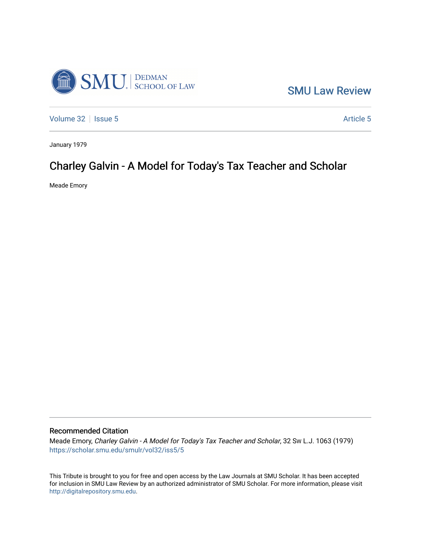

[SMU Law Review](https://scholar.smu.edu/smulr) 

[Volume 32](https://scholar.smu.edu/smulr/vol32) | [Issue 5](https://scholar.smu.edu/smulr/vol32/iss5) Article 5

January 1979

## Charley Galvin - A Model for Today's Tax Teacher and Scholar

Meade Emory

## Recommended Citation

Meade Emory, Charley Galvin - A Model for Today's Tax Teacher and Scholar, 32 SW L.J. 1063 (1979) [https://scholar.smu.edu/smulr/vol32/iss5/5](https://scholar.smu.edu/smulr/vol32/iss5/5?utm_source=scholar.smu.edu%2Fsmulr%2Fvol32%2Fiss5%2F5&utm_medium=PDF&utm_campaign=PDFCoverPages) 

This Tribute is brought to you for free and open access by the Law Journals at SMU Scholar. It has been accepted for inclusion in SMU Law Review by an authorized administrator of SMU Scholar. For more information, please visit [http://digitalrepository.smu.edu.](http://digitalrepository.smu.edu/)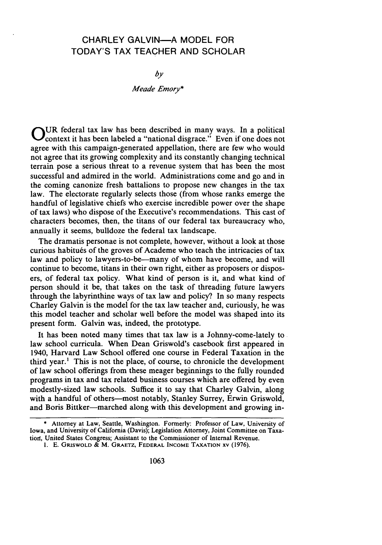## CHARLEY GALVIN-A MODEL FOR TODAY'S TAX TEACHER AND SCHOLAR

*by*

*Meade Emory\**

**O** UR federal tax law has been described in many ways. In a political context it has been labeled a "national disgrace." Even if one does not agree with this campaign-generated appellation, there are few who would not agree that its growing complexity and its constantly changing technical terrain pose a serious threat to a revenue system that has been the most successful and admired in the world. Administrations come and go and in the coming canonize fresh battalions to propose new changes in the tax law. The electorate regularly selects those (from whose ranks emerge the handful of legislative chiefs who exercise incredible power over the shape of tax laws) who dispose of the Executive's recommendations. This cast of characters becomes, then, the titans of our federal tax bureaucracy who, annually it seems, bulldoze the federal tax landscape.

The dramatis personae is not complete, however, without a look at those curious habitués of the groves of Academe who teach the intricacies of tax law and policy to lawyers-to-be-many of whom have become, and will continue to become, titans in their own right, either as proposers or disposers, of federal tax policy. What kind of person is it, and what kind of person should it be, that takes on the task of threading future lawyers through the labyrinthine ways of tax law and policy? In so many respects Charley Galvin is the model for the tax law teacher and, curiously, he was this model teacher and scholar well before the model was shaped into its present form. Galvin was, indeed, the prototype.

It has been noted many times that tax law is a Johnny-come-lately to law school curricula. When Dean Griswold's casebook first appeared in 1940, Harvard Law School offered one course in Federal Taxation in the third year.' This is not the place, of course, to chronicle the development of law school offerings from these meager beginnings to the fully rounded programs in tax and tax related business courses which are offered by even modestly-sized law schools. Suffice it to say that Charley Galvin, along with a handful of others-most notably, Stanley Surrey, Erwin Griswold, and Boris Bittker-marched along with this development and growing in-

**<sup>\*</sup>** Attorney at Law, Seattle, Washington. Formerly: Professor of Law, University of Iowa, and University of California (Davis); Legislation Attorney, Joint Committee on Taxation, United States Congress; Assistant to the Commissioner of Internal Revenue.

**<sup>1.</sup>** E. GRISWOLD & M. GRAETZ, FEDERAL **INCOME TAXATION** XV (1976).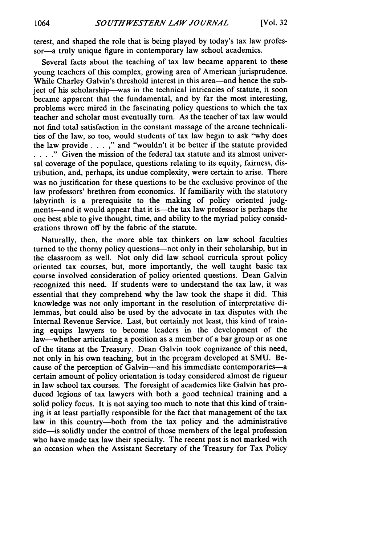terest, and shaped the role that is being played by today's tax law professor-a truly unique figure in contemporary law school academics.

Several facts about the teaching of tax law became apparent to these young teachers of this complex, growing area of American jurisprudence. While Charley Galvin's threshold interest in this area—and hence the subject of his scholarship-was in the technical intricacies of statute, it soon became apparent that the fundamental, and by far the most interesting, problems were mired in the fascinating policy questions to which the tax teacher and scholar must eventually turn. As the teacher of tax law would not find total satisfaction in the constant massage of the arcane technicalities of the law, so too, would students of tax law begin to ask "why does the law provide  $\dots$ ," and "wouldn't it be better if the statute provided **. .** . **."** Given the mission of the federal tax statute and its almost universal coverage of the populace, questions relating to its equity, fairness, distribution, and, perhaps, its undue complexity, were certain to arise. There was no justification for these questions to be the exclusive province of the law professors' brethren from economics. If familiarity with the statutory labyrinth is a prerequisite to the making of policy oriented judgments—and it would appear that it is—the tax law professor is perhaps the one best able to give thought, time, and ability to the myriad policy considerations thrown off by the fabric of the statute.

Naturally, then, the more able tax thinkers on law school faculties turned to the thorny policy questions-not only in their scholarship, but in the classroom as well. Not only did law school curricula sprout policy oriented tax courses, but, more importantly, the well taught basic tax course involved consideration of policy oriented questions. Dean Galvin recognized this need. If students were to understand the tax law, it was essential that they comprehend why the law took the shape it did. This knowledge was not only important in the resolution of interpretative dilemmas, but could also be used by the advocate in tax disputes with the Internal Revenue Service. Last, but certainly not least, this kind of training equips lawyers to become leaders in the development of the law-whether articulating a position as a member of a bar group or as one of the titans at the Treasury. Dean Galvin took cognizance of this need, not only in his own teaching, but in the program developed at SMU. Because of the perception of Galvin-and his immediate contemporaries-a certain amount of policy orientation is today considered almost de rigueur in law school tax courses. The foresight of academics like Galvin has produced legions of tax lawyers with both a good technical training and a solid policy focus. It is not saying too much to note that this kind of training is at least partially responsible for the fact that management of the tax law in this country-both from the tax policy and the administrative side—is solidly under the control of those members of the legal profession who have made tax law their specialty. The recent past is not marked with an occasion when the Assistant Secretary of the Treasury for Tax Policy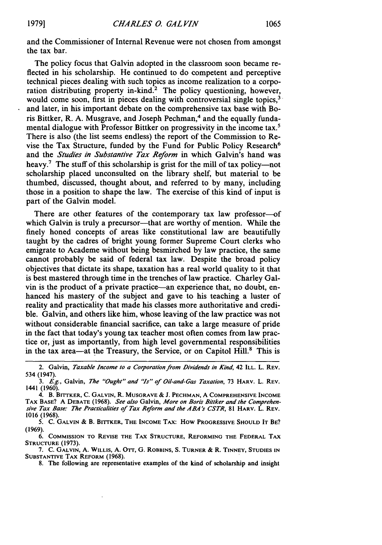and the Commissioner of Internal Revenue were not chosen from amongst the tax bar.

The policy focus that Galvin adopted in the classroom soon became reflected in his scholarship. He continued to do competent and perceptive technical pieces dealing with such topics as income realization to a corporation distributing property in-kind.<sup>2</sup> The policy questioning, however, would come soon, first in pieces dealing with controversial single topics,<sup>3</sup> and later, in his important debate on the comprehensive tax base with Boris Bittker, R. A. Musgrave, and Joseph Pechman,<sup>4</sup> and the equally fundamental dialogue with Professor Bittker on progressivity in the income tax.<sup>5</sup> There is also (the list seems endless) the report of the Commission to Revise the Tax Structure, funded by the Fund for Public Policy Research<sup>6</sup> and the *Studies in Substantive Tax Reform* in which Galvin's hand was heavy.<sup>7</sup> The stuff of this scholarship is grist for the mill of tax policy—not scholarship placed unconsulted on the library shelf, but material to be thumbed, discussed, thought about, and referred to by many, including those in a position to shape the law. The exercise of this kind of input is part of the Galvin model.

There are other features of the contemporary tax law professor-of which Galvin is truly a precursor—that are worthy of mention. While the finely honed concepts of areas 'like constitutional law are beautifully taught by the cadres of bright young former Supreme Court clerks who emigrate to Academe without being besmirched by law practice, the same cannot probably be said of federal tax law. Despite the broad policy objectives that dictate its shape, taxation has a real world quality to it that is best mastered through time in the trenches of law practice. Charley Galvin is the product of a private practice—an experience that, no doubt, enhanced his mastery of the subject and gave to his teaching a luster of reality and practicality that made his classes more authoritative and credible. Galvin, and others like him, whose leaving of the law practice was not without considerable financial sacrifice, can take a large measure of pride in the fact that today's young tax teacher most often comes from law practice or, just as importantly, from high level governmental responsibilities in the tax area—at the Treasury, the Service, or on Capitol Hill.<sup>8</sup> This is

7. **C. GALVIN, A.** WILLIS, **A. OTT, G.** ROBBINS, **S. TURNER &** R. **TINNEY, STUDIES IN SUBSTANTIVE TAX REFORM** (1968).

8. **The following are representative** examples **of the** kind **of** scholarship and **insight**

<sup>2.</sup> Galvin, Taxable Income *to a Corporation from Dividends in Kind,* 42 ILL. L. REV. 534 (1947).

<sup>3.</sup> **Eg.,** Galvin, The "Ought" and "Is" of Oil-and-Gas Taxation, 73 HARV. L. REV. 1441 (1960).

<sup>4.</sup> B. **BIrrKER,** C. **GALVIN,** R. MUSGRAVE **&** J. **PECHMAN,** A **COMPREHENSIVE** INCOME TAX BASE? A **DEBATE** (1968). See also Galvin, More *on Boris Bittker and* the Comprehen*sive* Tax Base: The *Practicalities of Tax Reform and* the ABA's CSTR, 81 HARV. L. REV. 1016 (1968).

**<sup>5.</sup> C. GALVIN** & B. **BITTKER, THE INCOME** TAx: **How PROGRESSIVE SHOULD IT BE?** (1969).

**<sup>6.</sup> COMMISSION TO REVISE THE TAX STRUCTURE, REFORMING THE FEDERAL TAX STRUCTURE (1973).**